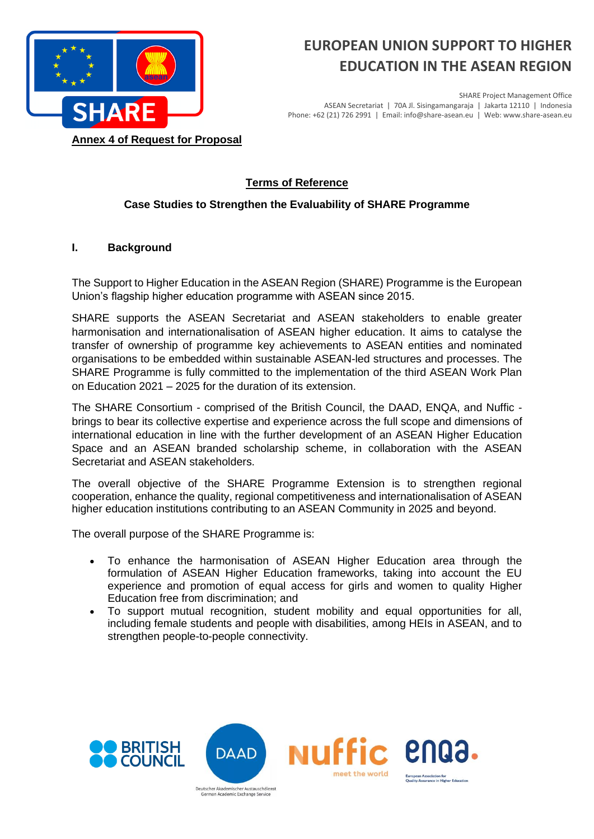

# **EUROPEAN UNION SUPPORT TO HIGHER EDUCATION IN THE ASEAN REGION**

SHARE Project Management Office ASEAN Secretariat | 70A Jl. Sisingamangaraja | Jakarta 12110 | Indonesia Phone: +62 (21) 726 2991 | Email: info@share-asean.eu | Web: www.share-asean.eu

**Annex 4 of Request for Proposal** 

## **Terms of Reference**

## **Case Studies to Strengthen the Evaluability of SHARE Programme**

#### **I. Background**

The Support to Higher Education in the ASEAN Region (SHARE) Programme is the European Union's flagship higher education programme with ASEAN since 2015.

SHARE supports the ASEAN Secretariat and ASEAN stakeholders to enable greater harmonisation and internationalisation of ASEAN higher education. It aims to catalyse the transfer of ownership of programme key achievements to ASEAN entities and nominated organisations to be embedded within sustainable ASEAN-led structures and processes. The SHARE Programme is fully committed to the implementation of the third ASEAN Work Plan on Education 2021 – 2025 for the duration of its extension.

The SHARE Consortium - comprised of the British Council, the DAAD, ENQA, and Nuffic brings to bear its collective expertise and experience across the full scope and dimensions of international education in line with the further development of an ASEAN Higher Education Space and an ASEAN branded scholarship scheme, in collaboration with the ASEAN Secretariat and ASEAN stakeholders.

The overall objective of the SHARE Programme Extension is to strengthen regional cooperation, enhance the quality, regional competitiveness and internationalisation of ASEAN higher education institutions contributing to an ASEAN Community in 2025 and beyond.

The overall purpose of the SHARE Programme is:

- To enhance the harmonisation of ASEAN Higher Education area through the formulation of ASEAN Higher Education frameworks, taking into account the EU experience and promotion of equal access for girls and women to quality Higher Education free from discrimination; and
- To support mutual recognition, student mobility and equal opportunities for all, including female students and people with disabilities, among HEIs in ASEAN, and to strengthen people-to-people connectivity.

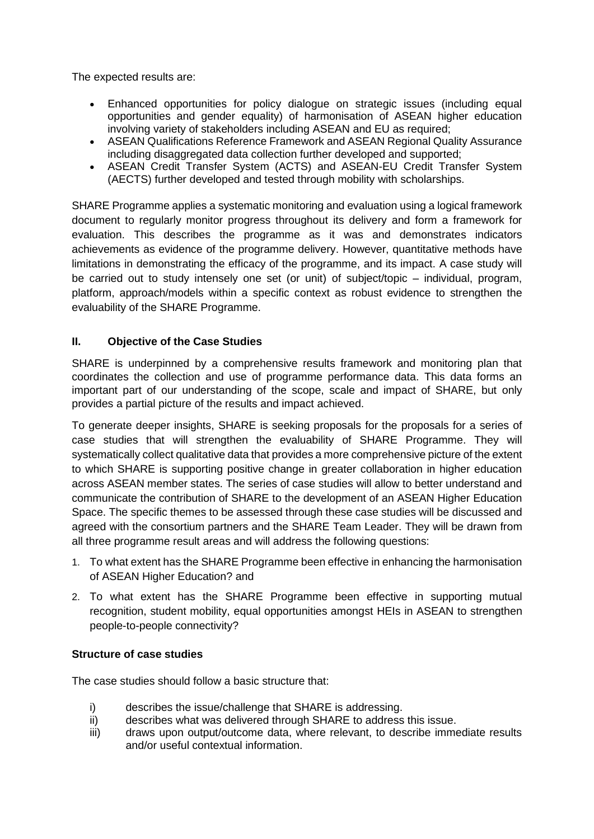The expected results are:

- Enhanced opportunities for policy dialogue on strategic issues (including equal opportunities and gender equality) of harmonisation of ASEAN higher education involving variety of stakeholders including ASEAN and EU as required;
- ASEAN Qualifications Reference Framework and ASEAN Regional Quality Assurance including disaggregated data collection further developed and supported;
- ASEAN Credit Transfer System (ACTS) and ASEAN-EU Credit Transfer System (AECTS) further developed and tested through mobility with scholarships.

SHARE Programme applies a systematic monitoring and evaluation using a logical framework document to regularly monitor progress throughout its delivery and form a framework for evaluation. This describes the programme as it was and demonstrates indicators achievements as evidence of the programme delivery. However, quantitative methods have limitations in demonstrating the efficacy of the programme, and its impact. A case study will be carried out to study intensely one set (or unit) of subject/topic – individual, program, platform, approach/models within a specific context as robust evidence to strengthen the evaluability of the SHARE Programme.

#### **II. Objective of the Case Studies**

SHARE is underpinned by a comprehensive results framework and monitoring plan that coordinates the collection and use of programme performance data. This data forms an important part of our understanding of the scope, scale and impact of SHARE, but only provides a partial picture of the results and impact achieved.

To generate deeper insights, SHARE is seeking proposals for the proposals for a series of case studies that will strengthen the evaluability of SHARE Programme. They will systematically collect qualitative data that provides a more comprehensive picture of the extent to which SHARE is supporting positive change in greater collaboration in higher education across ASEAN member states. The series of case studies will allow to better understand and communicate the contribution of SHARE to the development of an ASEAN Higher Education Space. The specific themes to be assessed through these case studies will be discussed and agreed with the consortium partners and the SHARE Team Leader. They will be drawn from all three programme result areas and will address the following questions:

- 1. To what extent has the SHARE Programme been effective in enhancing the harmonisation of ASEAN Higher Education? and
- 2. To what extent has the SHARE Programme been effective in supporting mutual recognition, student mobility, equal opportunities amongst HEIs in ASEAN to strengthen people-to-people connectivity?

#### **Structure of case studies**

The case studies should follow a basic structure that:

- i) describes the issue/challenge that SHARE is addressing.
- ii) describes what was delivered through SHARE to address this issue.
- iii) draws upon output/outcome data, where relevant, to describe immediate results and/or useful contextual information.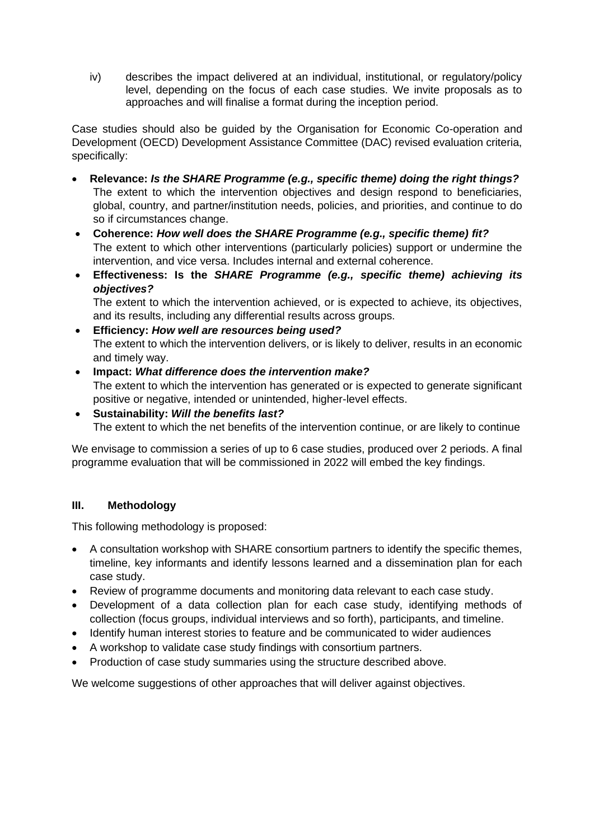iv) describes the impact delivered at an individual, institutional, or regulatory/policy level, depending on the focus of each case studies. We invite proposals as to approaches and will finalise a format during the inception period.

Case studies should also be guided by the Organisation for Economic Co-operation and Development (OECD) Development Assistance Committee (DAC) revised evaluation criteria, specifically:

- **Relevance:** *Is the SHARE Programme (e.g., specific theme) doing the right things?* The extent to which the intervention objectives and design respond to beneficiaries, global, country, and partner/institution needs, policies, and priorities, and continue to do so if circumstances change.
- **Coherence:** *How well does the SHARE Programme (e.g., specific theme) fit?* The extent to which other interventions (particularly policies) support or undermine the intervention, and vice versa. Includes internal and external coherence.
- **Effectiveness: Is the** *SHARE Programme (e.g., specific theme) achieving its objectives?*

The extent to which the intervention achieved, or is expected to achieve, its objectives, and its results, including any differential results across groups.

- **Efficiency:** *How well are resources being used?* The extent to which the intervention delivers, or is likely to deliver, results in an economic and timely way.
- **Impact:** *What difference does the intervention make?* The extent to which the intervention has generated or is expected to generate significant positive or negative, intended or unintended, higher-level effects.
- **Sustainability:** *Will the benefits last?* The extent to which the net benefits of the intervention continue, or are likely to continue

We envisage to commission a series of up to 6 case studies, produced over 2 periods. A final programme evaluation that will be commissioned in 2022 will embed the key findings.

#### **III. Methodology**

This following methodology is proposed:

- A consultation workshop with SHARE consortium partners to identify the specific themes, timeline, key informants and identify lessons learned and a dissemination plan for each case study.
- Review of programme documents and monitoring data relevant to each case study.
- Development of a data collection plan for each case study, identifying methods of collection (focus groups, individual interviews and so forth), participants, and timeline.
- Identify human interest stories to feature and be communicated to wider audiences
- A workshop to validate case study findings with consortium partners.
- Production of case study summaries using the structure described above.

We welcome suggestions of other approaches that will deliver against objectives.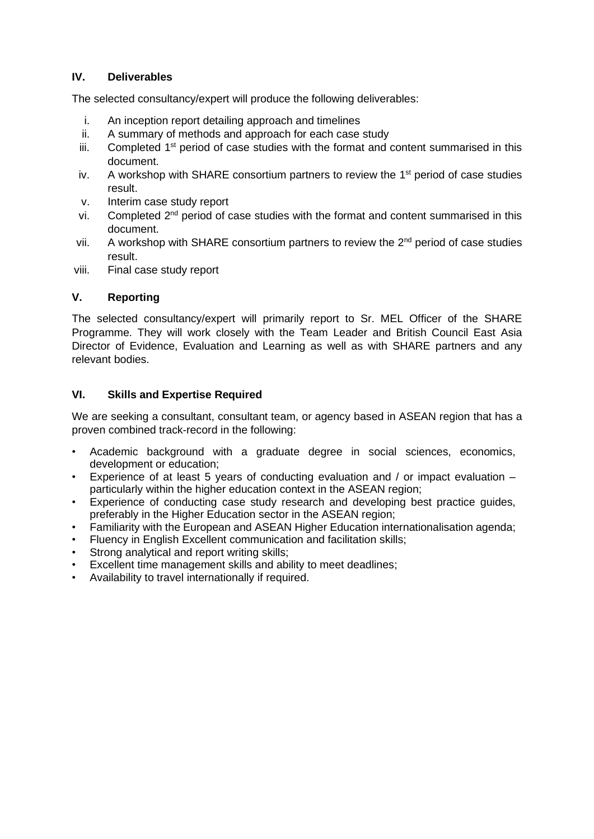#### **IV. Deliverables**

The selected consultancy/expert will produce the following deliverables:

- i. An inception report detailing approach and timelines
- ii. A summary of methods and approach for each case study
- iii. Completed  $1<sup>st</sup>$  period of case studies with the format and content summarised in this document.
- iv. A workshop with SHARE consortium partners to review the  $1<sup>st</sup>$  period of case studies result.
- v. Interim case study report
- vi. Completed 2nd period of case studies with the format and content summarised in this document.
- vii. A workshop with SHARE consortium partners to review the  $2<sup>nd</sup>$  period of case studies result.
- viii. Final case study report

#### **V. Reporting**

The selected consultancy/expert will primarily report to Sr. MEL Officer of the SHARE Programme. They will work closely with the Team Leader and British Council East Asia Director of Evidence, Evaluation and Learning as well as with SHARE partners and any relevant bodies.

#### **VI. Skills and Expertise Required**

We are seeking a consultant, consultant team, or agency based in ASEAN region that has a proven combined track-record in the following:

- Academic background with a graduate degree in social sciences, economics, development or education;
- Experience of at least 5 years of conducting evaluation and / or impact evaluation particularly within the higher education context in the ASEAN region:
- Experience of conducting case study research and developing best practice guides, preferably in the Higher Education sector in the ASEAN region;
- Familiarity with the European and ASEAN Higher Education internationalisation agenda;
- Fluency in English Excellent communication and facilitation skills;
- Strong analytical and report writing skills:
- **Excellent time management skills and ability to meet deadlines:**
- Availability to travel internationally if required.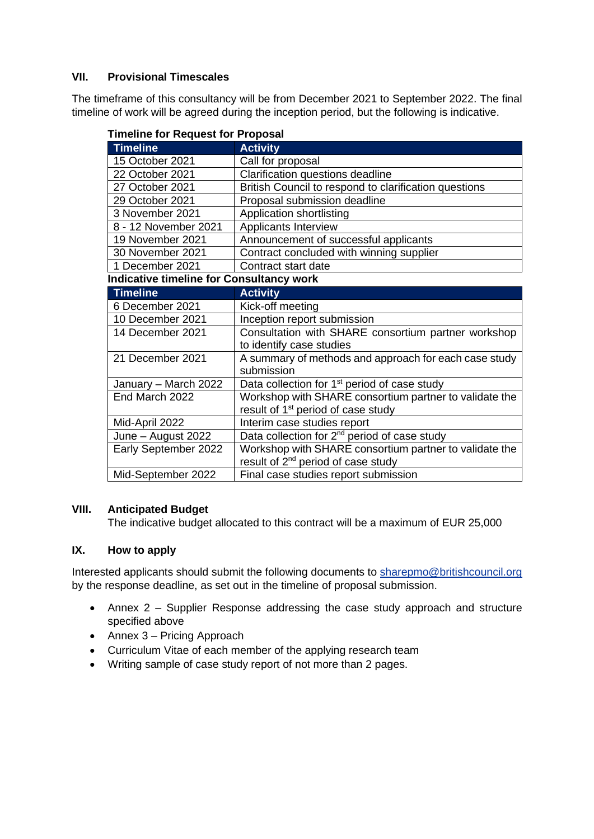#### **VII. Provisional Timescales**

The timeframe of this consultancy will be from December 2021 to September 2022. The final timeline of work will be agreed during the inception period, but the following is indicative.

| <b>Timeline</b>                                 | <b>Activity</b>                                          |  |
|-------------------------------------------------|----------------------------------------------------------|--|
| 15 October 2021                                 | Call for proposal                                        |  |
| 22 October 2021                                 | Clarification questions deadline                         |  |
| 27 October 2021                                 | British Council to respond to clarification questions    |  |
| 29 October 2021                                 | Proposal submission deadline                             |  |
| 3 November 2021                                 | Application shortlisting                                 |  |
| 8 - 12 November 2021                            | Applicants Interview                                     |  |
| 19 November 2021                                | Announcement of successful applicants                    |  |
| 30 November 2021                                | Contract concluded with winning supplier                 |  |
| 1 December 2021                                 | Contract start date                                      |  |
| <b>Indicative timeline for Consultancy work</b> |                                                          |  |
| <b>Timeline</b>                                 | <b>Activity</b>                                          |  |
| 6 December 2021                                 | Kick-off meeting                                         |  |
| 10 December 2021                                | Inception report submission                              |  |
| 14 December 2021                                | Consultation with SHARE consortium partner workshop      |  |
|                                                 | to identify case studies                                 |  |
| 21 December 2021                                | A summary of methods and approach for each case study    |  |
|                                                 | submission                                               |  |
| January - March 2022                            | Data collection for 1 <sup>st</sup> period of case study |  |
| End March 2022                                  | Workshop with SHARE consortium partner to validate the   |  |
|                                                 | result of 1 <sup>st</sup> period of case study           |  |
| Mid-April 2022                                  | Interim case studies report                              |  |
| June – August 2022                              | Data collection for 2 <sup>nd</sup> period of case study |  |
| Early September 2022                            | Workshop with SHARE consortium partner to validate the   |  |
|                                                 | result of 2 <sup>nd</sup> period of case study           |  |
| Mid-September 2022                              | Final case studies report submission                     |  |

#### **Timeline for Request for Proposal**

#### **VIII. Anticipated Budget**

The indicative budget allocated to this contract will be a maximum of EUR 25,000

#### **IX. How to apply**

Interested applicants should submit the following documents to [sharepmo@britishcouncil.org](mailto:sharepmo@britishcouncil.org) by the response deadline, as set out in the timeline of proposal submission.

- Annex 2 Supplier Response addressing the case study approach and structure specified above
- Annex 3 Pricing Approach
- Curriculum Vitae of each member of the applying research team
- Writing sample of case study report of not more than 2 pages.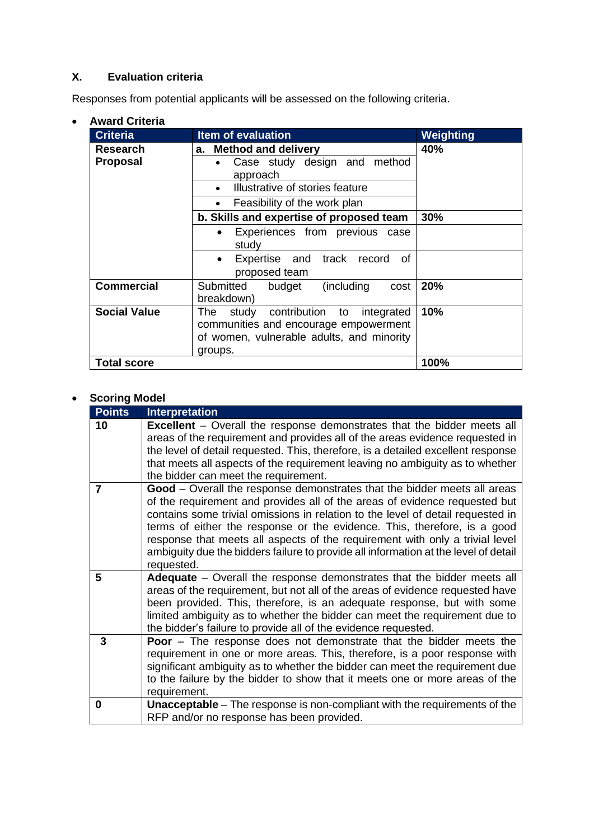# **X. Evaluation criteria**

Responses from potential applicants will be assessed on the following criteria.

| <b>Award Criteria</b> |                                                                                                                                                |           |
|-----------------------|------------------------------------------------------------------------------------------------------------------------------------------------|-----------|
| <b>Criteria</b>       | <b>Item of evaluation</b>                                                                                                                      | Weighting |
| <b>Research</b>       | <b>Method and delivery</b><br>а.                                                                                                               | 40%       |
| <b>Proposal</b>       | Case study design and method<br>approach                                                                                                       |           |
|                       | Illustrative of stories feature                                                                                                                |           |
|                       | Feasibility of the work plan<br>$\bullet$                                                                                                      |           |
|                       | b. Skills and expertise of proposed team                                                                                                       | 30%       |
|                       | Experiences from previous case<br>$\bullet$<br>study                                                                                           |           |
|                       | Expertise and track record<br>of<br>$\bullet$<br>proposed team                                                                                 |           |
| <b>Commercial</b>     | Submitted<br>(including<br>budget<br>cost<br>breakdown)                                                                                        | 20%       |
| <b>Social Value</b>   | contribution to<br>The<br>study<br>integrated<br>communities and encourage empowerment<br>of women, vulnerable adults, and minority<br>groups. | 10%       |
| Total score           |                                                                                                                                                | 100%      |

## • **Scoring Model**

| <b>Points</b> | <b>Interpretation</b>                                                                                                                                                                                                                                                                                                                                                                                                                                                                                      |
|---------------|------------------------------------------------------------------------------------------------------------------------------------------------------------------------------------------------------------------------------------------------------------------------------------------------------------------------------------------------------------------------------------------------------------------------------------------------------------------------------------------------------------|
| 10            | <b>Excellent</b> – Overall the response demonstrates that the bidder meets all<br>areas of the requirement and provides all of the areas evidence requested in<br>the level of detail requested. This, therefore, is a detailed excellent response<br>that meets all aspects of the requirement leaving no ambiguity as to whether<br>the bidder can meet the requirement.                                                                                                                                 |
| 7             | Good - Overall the response demonstrates that the bidder meets all areas<br>of the requirement and provides all of the areas of evidence requested but<br>contains some trivial omissions in relation to the level of detail requested in<br>terms of either the response or the evidence. This, therefore, is a good<br>response that meets all aspects of the requirement with only a trivial level<br>ambiguity due the bidders failure to provide all information at the level of detail<br>requested. |
| 5             | Adequate - Overall the response demonstrates that the bidder meets all<br>areas of the requirement, but not all of the areas of evidence requested have<br>been provided. This, therefore, is an adequate response, but with some<br>limited ambiguity as to whether the bidder can meet the requirement due to<br>the bidder's failure to provide all of the evidence requested.                                                                                                                          |
| 3             | <b>Poor</b> – The response does not demonstrate that the bidder meets the<br>requirement in one or more areas. This, therefore, is a poor response with<br>significant ambiguity as to whether the bidder can meet the requirement due<br>to the failure by the bidder to show that it meets one or more areas of the<br>requirement.                                                                                                                                                                      |
| 0             | <b>Unacceptable</b> - The response is non-compliant with the requirements of the<br>RFP and/or no response has been provided.                                                                                                                                                                                                                                                                                                                                                                              |